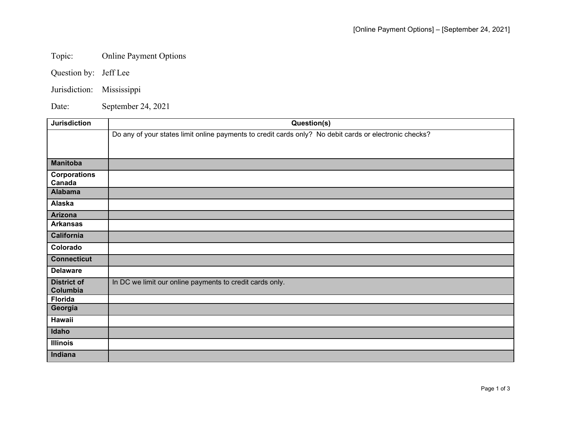## Topic: Online Payment Options

Question by: Jeff Lee

Jurisdiction: Mississippi

Date: September 24, 2021

| <b>Jurisdiction</b> | Question(s)                                                                                            |
|---------------------|--------------------------------------------------------------------------------------------------------|
|                     | Do any of your states limit online payments to credit cards only? No debit cards or electronic checks? |
|                     |                                                                                                        |
|                     |                                                                                                        |
| <b>Manitoba</b>     |                                                                                                        |
| <b>Corporations</b> |                                                                                                        |
| Canada              |                                                                                                        |
| <b>Alabama</b>      |                                                                                                        |
| Alaska              |                                                                                                        |
| Arizona             |                                                                                                        |
| <b>Arkansas</b>     |                                                                                                        |
| <b>California</b>   |                                                                                                        |
| Colorado            |                                                                                                        |
| <b>Connecticut</b>  |                                                                                                        |
| <b>Delaware</b>     |                                                                                                        |
| <b>District of</b>  | In DC we limit our online payments to credit cards only.                                               |
| Columbia            |                                                                                                        |
| <b>Florida</b>      |                                                                                                        |
| Georgia             |                                                                                                        |
| <b>Hawaii</b>       |                                                                                                        |
| Idaho               |                                                                                                        |
| <b>Illinois</b>     |                                                                                                        |
| Indiana             |                                                                                                        |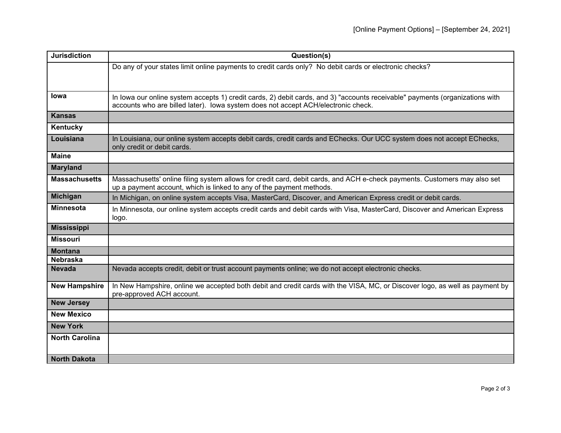| <b>Jurisdiction</b>   | Question(s)                                                                                                                                                                                                       |
|-----------------------|-------------------------------------------------------------------------------------------------------------------------------------------------------------------------------------------------------------------|
|                       | Do any of your states limit online payments to credit cards only? No debit cards or electronic checks?                                                                                                            |
|                       |                                                                                                                                                                                                                   |
|                       |                                                                                                                                                                                                                   |
| lowa                  | In lowa our online system accepts 1) credit cards, 2) debit cards, and 3) "accounts receivable" payments (organizations with<br>accounts who are billed later). Iowa system does not accept ACH/electronic check. |
| <b>Kansas</b>         |                                                                                                                                                                                                                   |
| Kentucky              |                                                                                                                                                                                                                   |
| Louisiana             | In Louisiana, our online system accepts debit cards, credit cards and EChecks. Our UCC system does not accept EChecks,<br>only credit or debit cards.                                                             |
| <b>Maine</b>          |                                                                                                                                                                                                                   |
| <b>Maryland</b>       |                                                                                                                                                                                                                   |
| <b>Massachusetts</b>  | Massachusetts' online filing system allows for credit card, debit cards, and ACH e-check payments. Customers may also set<br>up a payment account, which is linked to any of the payment methods.                 |
| <b>Michigan</b>       | In Michigan, on online system accepts Visa, MasterCard, Discover, and American Express credit or debit cards.                                                                                                     |
| <b>Minnesota</b>      | In Minnesota, our online system accepts credit cards and debit cards with Visa, MasterCard, Discover and American Express<br>logo.                                                                                |
| <b>Mississippi</b>    |                                                                                                                                                                                                                   |
| <b>Missouri</b>       |                                                                                                                                                                                                                   |
| <b>Montana</b>        |                                                                                                                                                                                                                   |
| <b>Nebraska</b>       |                                                                                                                                                                                                                   |
| <b>Nevada</b>         | Nevada accepts credit, debit or trust account payments online; we do not accept electronic checks.                                                                                                                |
| <b>New Hampshire</b>  | In New Hampshire, online we accepted both debit and credit cards with the VISA, MC, or Discover logo, as well as payment by<br>pre-approved ACH account.                                                          |
| <b>New Jersey</b>     |                                                                                                                                                                                                                   |
| <b>New Mexico</b>     |                                                                                                                                                                                                                   |
| <b>New York</b>       |                                                                                                                                                                                                                   |
| <b>North Carolina</b> |                                                                                                                                                                                                                   |
|                       |                                                                                                                                                                                                                   |
| <b>North Dakota</b>   |                                                                                                                                                                                                                   |